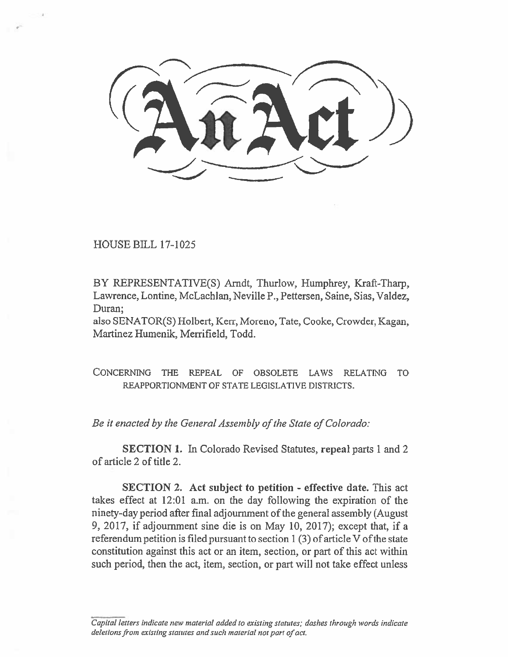HOUSE BILL 17-1025

BY REPRESENTATIVE(S) Arndt, Thurlow, Humphrey, Kraft-Tharp, Lawrence, Lontine, McLachlan, Neville P., Pettersen, Saine, Sias, Valdez, Duran;

also SENATOR(S) Holbert, Kerr, Moreno, Tate, Cooke, Crowder, Kagan, Martinez Humenik, Merrifield, Todd.

CONCERNING THE REPEAL OF OBSOLETE LAWS RELATING TO REAPPORTIONMENT OF STATE LEGISLATIVE DISTRICTS.

*Be it enacted by the General Assembly of the State of Colorado:* 

**SECTION 1.** In **Colorado** Revised Statutes, **repeal** parts 1 and 2 of article 2 of title 2.

**SECTION 2. Act subject to petition - effective date.** This act takes effect at 12:01 a.m. on the day following the expiration of the ninety-day period after final adjournment of the general assembly (August 9, 2017, if adjournment sine die is on May 10, 2017); except that, if a referendum petition is filed pursuant to section 1 (3) of article V of the state constitution against this act or an item, section, or part of this act within such period, then the act, item, section, or part will not take effect unless